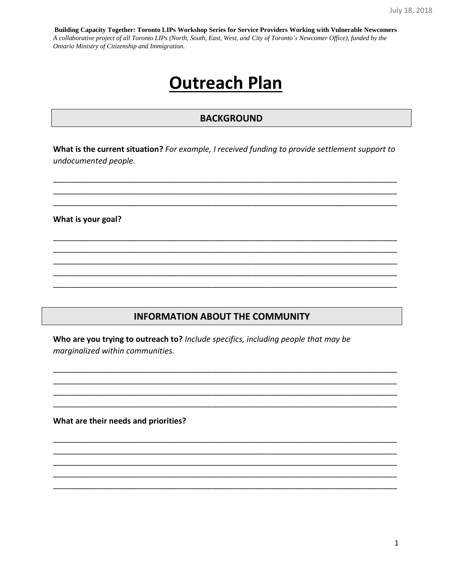# **Outreach Plan**

# **BACKGROUND**

What is the current situation? For example, I received funding to provide settlement support to undocumented people.

What is your goal?

# **INFORMATION ABOUT THE COMMUNITY**

Who are you trying to outreach to? Include specifics, including people that may be marginalized within communities.

What are their needs and priorities?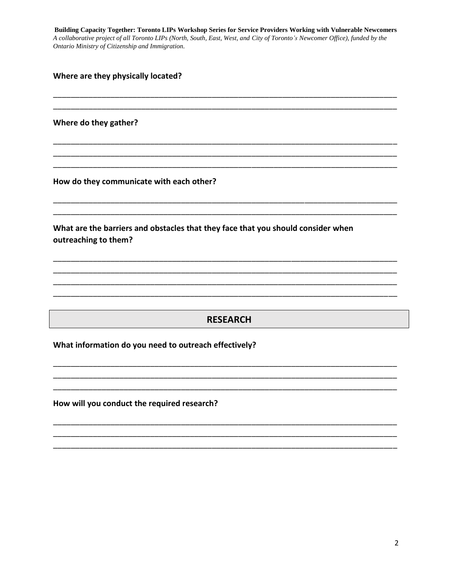Where are they physically located?

Where do they gather?

How do they communicate with each other?

What are the barriers and obstacles that they face that you should consider when outreaching to them?

# **RESEARCH**

What information do you need to outreach effectively?

How will you conduct the required research?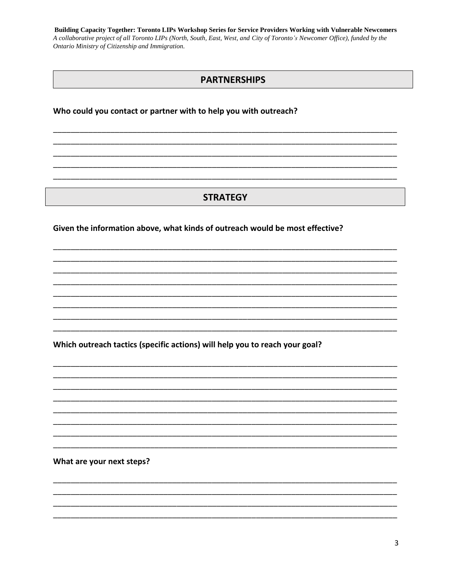## **PARTNERSHIPS**

#### Who could you contact or partner with to help you with outreach?

# **STRATEGY**

#### Given the information above, what kinds of outreach would be most effective?

Which outreach tactics (specific actions) will help you to reach your goal?

What are your next steps?